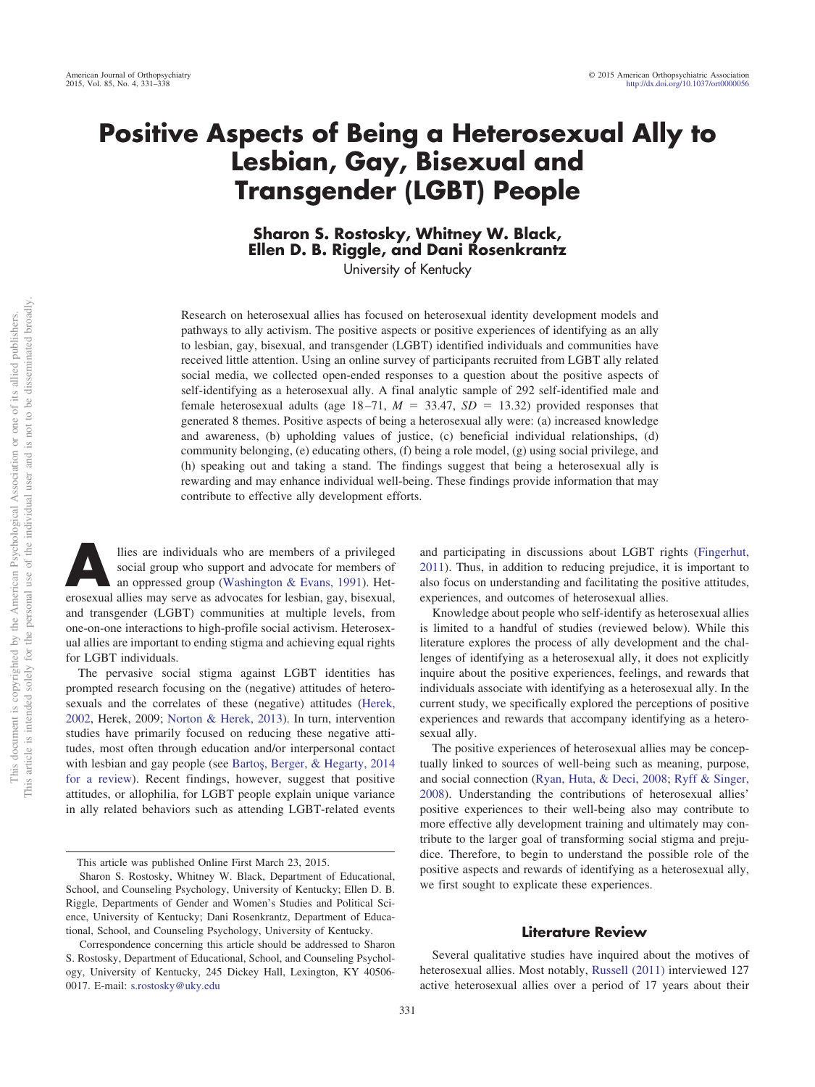# **Positive Aspects of Being a Heterosexual Ally to Lesbian, Gay, Bisexual and Transgender (LGBT) People**

**Sharon S. Rostosky, Whitney W. Black, Ellen D. B. Riggle, and Dani Rosenkrantz**

University of Kentucky

Research on heterosexual allies has focused on heterosexual identity development models and pathways to ally activism. The positive aspects or positive experiences of identifying as an ally to lesbian, gay, bisexual, and transgender (LGBT) identified individuals and communities have received little attention. Using an online survey of participants recruited from LGBT ally related social media, we collected open-ended responses to a question about the positive aspects of self-identifying as a heterosexual ally. A final analytic sample of 292 self-identified male and female heterosexual adults (age  $18-71$ ,  $M = 33.47$ ,  $SD = 13.32$ ) provided responses that generated 8 themes. Positive aspects of being a heterosexual ally were: (a) increased knowledge and awareness, (b) upholding values of justice, (c) beneficial individual relationships, (d) community belonging, (e) educating others, (f) being a role model, (g) using social privilege, and (h) speaking out and taking a stand. The findings suggest that being a heterosexual ally is rewarding and may enhance individual well-being. These findings provide information that may contribute to effective ally development efforts.

**Allies are individuals who are members of a privileged**<br>social group who support and advocate for members of<br>an oppressed group [\(Washington & Evans, 1991\)](#page-7-0). Het-<br>prosexual allies may serve as advocates for leshian gay bise social group who support and advocate for members of erosexual allies may serve as advocates for lesbian, gay, bisexual, and transgender (LGBT) communities at multiple levels, from one-on-one interactions to high-profile social activism. Heterosexual allies are important to ending stigma and achieving equal rights for LGBT individuals.

The pervasive social stigma against LGBT identities has prompted research focusing on the (negative) attitudes of heterosexuals and the correlates of these (negative) attitudes [\(Herek,](#page-7-1) [2002,](#page-7-1) Herek, 2009; [Norton & Herek, 2013\)](#page-7-2). In turn, intervention studies have primarily focused on reducing these negative attitudes, most often through education and/or interpersonal contact with lesbian and gay people (see Bartoş, Berger, & Hegarty, 2014 [for a review\)](#page-6-0). Recent findings, however, suggest that positive attitudes, or allophilia, for LGBT people explain unique variance in ally related behaviors such as attending LGBT-related events and participating in discussions about LGBT rights [\(Fingerhut,](#page-7-3) [2011\)](#page-7-3). Thus, in addition to reducing prejudice, it is important to also focus on understanding and facilitating the positive attitudes, experiences, and outcomes of heterosexual allies.

Knowledge about people who self-identify as heterosexual allies is limited to a handful of studies (reviewed below). While this literature explores the process of ally development and the challenges of identifying as a heterosexual ally, it does not explicitly inquire about the positive experiences, feelings, and rewards that individuals associate with identifying as a heterosexual ally. In the current study, we specifically explored the perceptions of positive experiences and rewards that accompany identifying as a heterosexual ally.

The positive experiences of heterosexual allies may be conceptually linked to sources of well-being such as meaning, purpose, and social connection [\(Ryan, Huta, & Deci, 2008;](#page-7-4) [Ryff & Singer,](#page-7-5) [2008\)](#page-7-5). Understanding the contributions of heterosexual allies' positive experiences to their well-being also may contribute to more effective ally development training and ultimately may contribute to the larger goal of transforming social stigma and prejudice. Therefore, to begin to understand the possible role of the positive aspects and rewards of identifying as a heterosexual ally, we first sought to explicate these experiences.

#### **Literature Review**

Several qualitative studies have inquired about the motives of heterosexual allies. Most notably, [Russell \(2011\)](#page-7-6) interviewed 127 active heterosexual allies over a period of 17 years about their

This article was published Online First March 23, 2015.

Sharon S. Rostosky, Whitney W. Black, Department of Educational, School, and Counseling Psychology, University of Kentucky; Ellen D. B. Riggle, Departments of Gender and Women's Studies and Political Science, University of Kentucky; Dani Rosenkrantz, Department of Educational, School, and Counseling Psychology, University of Kentucky.

Correspondence concerning this article should be addressed to Sharon S. Rostosky, Department of Educational, School, and Counseling Psychology, University of Kentucky, 245 Dickey Hall, Lexington, KY 40506- 0017. E-mail: [s.rostosky@uky.edu](mailto:s.rostosky@uky.edu)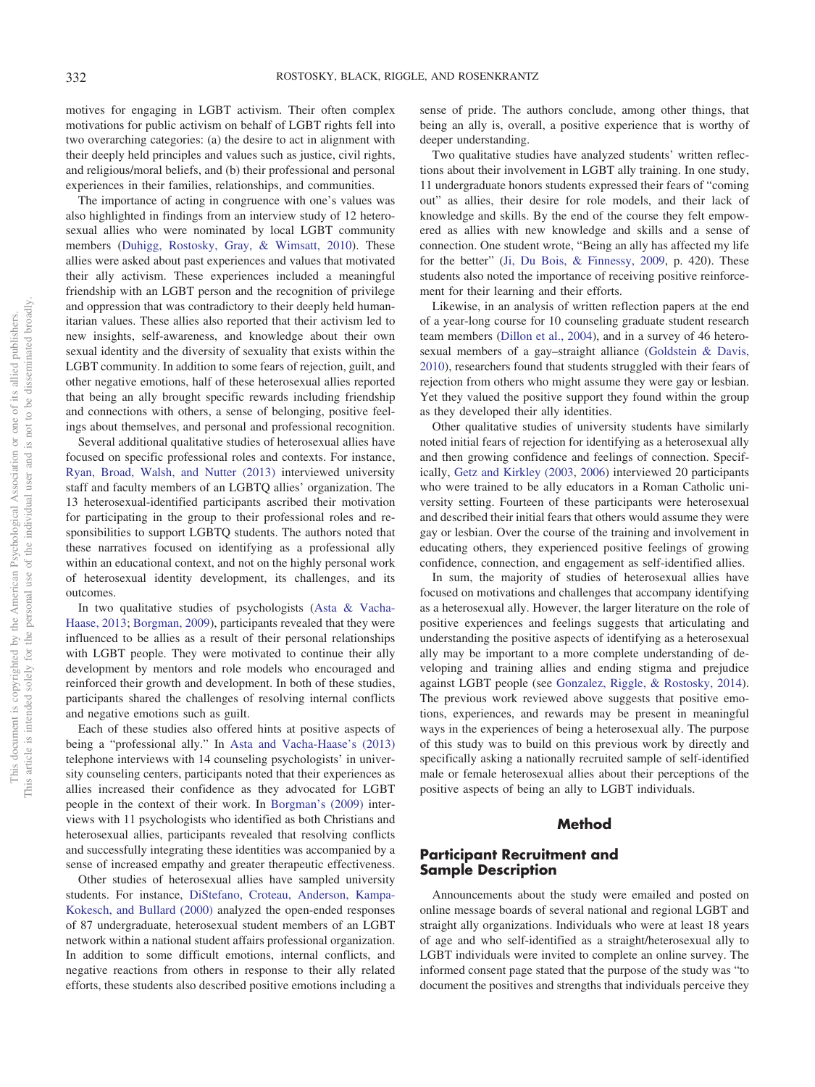motives for engaging in LGBT activism. Their often complex motivations for public activism on behalf of LGBT rights fell into two overarching categories: (a) the desire to act in alignment with their deeply held principles and values such as justice, civil rights, and religious/moral beliefs, and (b) their professional and personal experiences in their families, relationships, and communities.

The importance of acting in congruence with one's values was also highlighted in findings from an interview study of 12 heterosexual allies who were nominated by local LGBT community members [\(Duhigg, Rostosky, Gray, & Wimsatt, 2010\)](#page-6-1). These allies were asked about past experiences and values that motivated their ally activism. These experiences included a meaningful friendship with an LGBT person and the recognition of privilege and oppression that was contradictory to their deeply held humanitarian values. These allies also reported that their activism led to new insights, self-awareness, and knowledge about their own sexual identity and the diversity of sexuality that exists within the LGBT community. In addition to some fears of rejection, guilt, and other negative emotions, half of these heterosexual allies reported that being an ally brought specific rewards including friendship and connections with others, a sense of belonging, positive feelings about themselves, and personal and professional recognition.

Several additional qualitative studies of heterosexual allies have focused on specific professional roles and contexts. For instance, [Ryan, Broad, Walsh, and Nutter \(2013\)](#page-7-7) interviewed university staff and faculty members of an LGBTQ allies' organization. The 13 heterosexual-identified participants ascribed their motivation for participating in the group to their professional roles and responsibilities to support LGBTQ students. The authors noted that these narratives focused on identifying as a professional ally within an educational context, and not on the highly personal work of heterosexual identity development, its challenges, and its outcomes.

In two qualitative studies of psychologists [\(Asta & Vacha-](#page-6-2)[Haase, 2013;](#page-6-2) [Borgman, 2009\)](#page-6-3), participants revealed that they were influenced to be allies as a result of their personal relationships with LGBT people. They were motivated to continue their ally development by mentors and role models who encouraged and reinforced their growth and development. In both of these studies, participants shared the challenges of resolving internal conflicts and negative emotions such as guilt.

Each of these studies also offered hints at positive aspects of being a "professional ally." In [Asta and Vacha-Haase's \(2013\)](#page-6-2) telephone interviews with 14 counseling psychologists' in university counseling centers, participants noted that their experiences as allies increased their confidence as they advocated for LGBT people in the context of their work. In [Borgman's \(2009\)](#page-6-3) interviews with 11 psychologists who identified as both Christians and heterosexual allies, participants revealed that resolving conflicts and successfully integrating these identities was accompanied by a sense of increased empathy and greater therapeutic effectiveness.

Other studies of heterosexual allies have sampled university students. For instance, [DiStefano, Croteau, Anderson, Kampa-](#page-6-4)[Kokesch, and Bullard \(2000\)](#page-6-4) analyzed the open-ended responses of 87 undergraduate, heterosexual student members of an LGBT network within a national student affairs professional organization. In addition to some difficult emotions, internal conflicts, and negative reactions from others in response to their ally related efforts, these students also described positive emotions including a

sense of pride. The authors conclude, among other things, that being an ally is, overall, a positive experience that is worthy of deeper understanding.

Two qualitative studies have analyzed students' written reflections about their involvement in LGBT ally training. In one study, 11 undergraduate honors students expressed their fears of "coming out" as allies, their desire for role models, and their lack of knowledge and skills. By the end of the course they felt empowered as allies with new knowledge and skills and a sense of connection. One student wrote, "Being an ally has affected my life for the better" [\(Ji, Du Bois, & Finnessy, 2009,](#page-7-8) p. 420). These students also noted the importance of receiving positive reinforcement for their learning and their efforts.

Likewise, in an analysis of written reflection papers at the end of a year-long course for 10 counseling graduate student research team members [\(Dillon et al., 2004\)](#page-6-5), and in a survey of 46 heterosexual members of a gay–straight alliance [\(Goldstein & Davis,](#page-7-9) [2010\)](#page-7-9), researchers found that students struggled with their fears of rejection from others who might assume they were gay or lesbian. Yet they valued the positive support they found within the group as they developed their ally identities.

Other qualitative studies of university students have similarly noted initial fears of rejection for identifying as a heterosexual ally and then growing confidence and feelings of connection. Specifically, [Getz and Kirkley \(2003,](#page-7-10) [2006\)](#page-7-11) interviewed 20 participants who were trained to be ally educators in a Roman Catholic university setting. Fourteen of these participants were heterosexual and described their initial fears that others would assume they were gay or lesbian. Over the course of the training and involvement in educating others, they experienced positive feelings of growing confidence, connection, and engagement as self-identified allies.

In sum, the majority of studies of heterosexual allies have focused on motivations and challenges that accompany identifying as a heterosexual ally. However, the larger literature on the role of positive experiences and feelings suggests that articulating and understanding the positive aspects of identifying as a heterosexual ally may be important to a more complete understanding of developing and training allies and ending stigma and prejudice against LGBT people (see [Gonzalez, Riggle, & Rostosky, 2014\)](#page-7-12). The previous work reviewed above suggests that positive emotions, experiences, and rewards may be present in meaningful ways in the experiences of being a heterosexual ally. The purpose of this study was to build on this previous work by directly and specifically asking a nationally recruited sample of self-identified male or female heterosexual allies about their perceptions of the positive aspects of being an ally to LGBT individuals.

#### **Method**

# **Participant Recruitment and Sample Description**

Announcements about the study were emailed and posted on online message boards of several national and regional LGBT and straight ally organizations. Individuals who were at least 18 years of age and who self-identified as a straight/heterosexual ally to LGBT individuals were invited to complete an online survey. The informed consent page stated that the purpose of the study was "to document the positives and strengths that individuals perceive they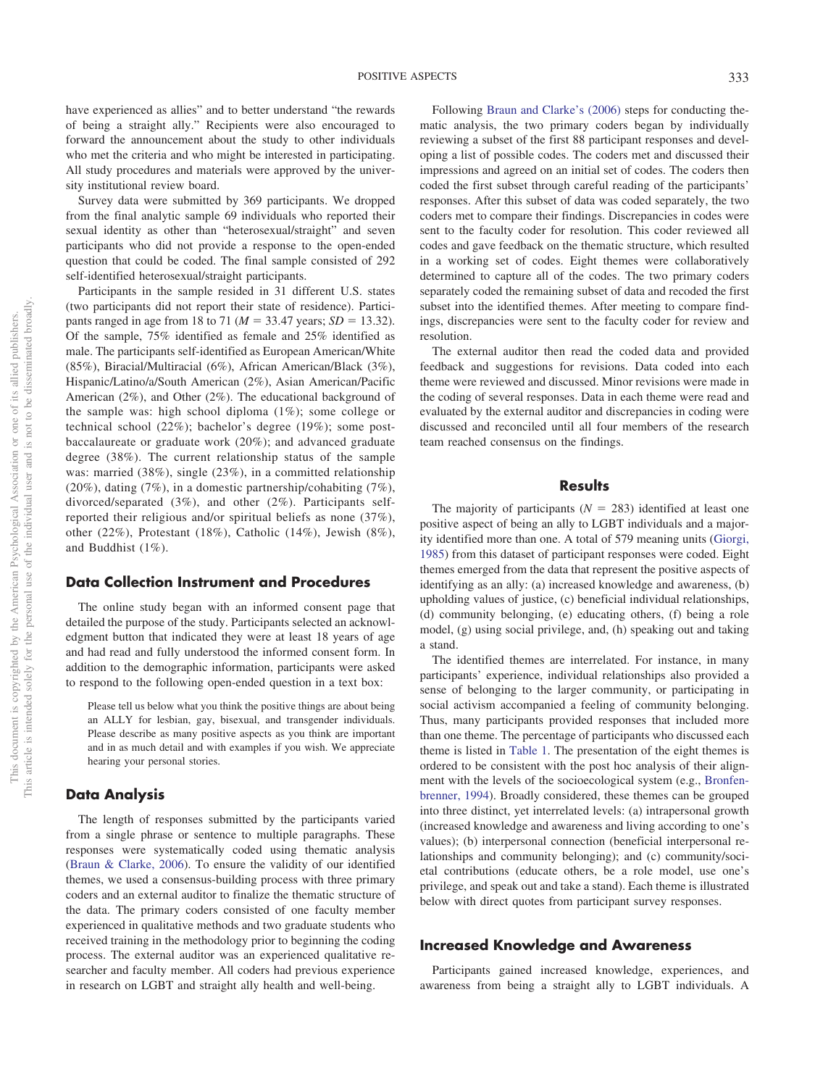have experienced as allies" and to better understand "the rewards of being a straight ally." Recipients were also encouraged to forward the announcement about the study to other individuals who met the criteria and who might be interested in participating. All study procedures and materials were approved by the university institutional review board.

Survey data were submitted by 369 participants. We dropped from the final analytic sample 69 individuals who reported their sexual identity as other than "heterosexual/straight" and seven participants who did not provide a response to the open-ended question that could be coded. The final sample consisted of 292 self-identified heterosexual/straight participants.

Participants in the sample resided in 31 different U.S. states (two participants did not report their state of residence). Participants ranged in age from 18 to 71 ( $M = 33.47$  years;  $SD = 13.32$ ). Of the sample, 75% identified as female and 25% identified as male. The participants self-identified as European American/White (85%), Biracial/Multiracial (6%), African American/Black (3%), Hispanic/Latino/a/South American (2%), Asian American/Pacific American (2%), and Other (2%). The educational background of the sample was: high school diploma (1%); some college or technical school (22%); bachelor's degree (19%); some postbaccalaureate or graduate work (20%); and advanced graduate degree (38%). The current relationship status of the sample was: married (38%), single (23%), in a committed relationship (20%), dating (7%), in a domestic partnership/cohabiting (7%), divorced/separated (3%), and other (2%). Participants selfreported their religious and/or spiritual beliefs as none (37%), other (22%), Protestant (18%), Catholic (14%), Jewish (8%), and Buddhist (1%).

#### **Data Collection Instrument and Procedures**

The online study began with an informed consent page that detailed the purpose of the study. Participants selected an acknowledgment button that indicated they were at least 18 years of age and had read and fully understood the informed consent form. In addition to the demographic information, participants were asked to respond to the following open-ended question in a text box:

Please tell us below what you think the positive things are about being an ALLY for lesbian, gay, bisexual, and transgender individuals. Please describe as many positive aspects as you think are important and in as much detail and with examples if you wish. We appreciate hearing your personal stories.

### **Data Analysis**

The length of responses submitted by the participants varied from a single phrase or sentence to multiple paragraphs. These responses were systematically coded using thematic analysis [\(Braun & Clarke, 2006\)](#page-6-6). To ensure the validity of our identified themes, we used a consensus-building process with three primary coders and an external auditor to finalize the thematic structure of the data. The primary coders consisted of one faculty member experienced in qualitative methods and two graduate students who received training in the methodology prior to beginning the coding process. The external auditor was an experienced qualitative researcher and faculty member. All coders had previous experience in research on LGBT and straight ally health and well-being.

Following [Braun and Clarke's \(2006\)](#page-6-6) steps for conducting thematic analysis, the two primary coders began by individually reviewing a subset of the first 88 participant responses and developing a list of possible codes. The coders met and discussed their impressions and agreed on an initial set of codes. The coders then coded the first subset through careful reading of the participants' responses. After this subset of data was coded separately, the two coders met to compare their findings. Discrepancies in codes were sent to the faculty coder for resolution. This coder reviewed all codes and gave feedback on the thematic structure, which resulted in a working set of codes. Eight themes were collaboratively determined to capture all of the codes. The two primary coders separately coded the remaining subset of data and recoded the first subset into the identified themes. After meeting to compare findings, discrepancies were sent to the faculty coder for review and resolution.

The external auditor then read the coded data and provided feedback and suggestions for revisions. Data coded into each theme were reviewed and discussed. Minor revisions were made in the coding of several responses. Data in each theme were read and evaluated by the external auditor and discrepancies in coding were discussed and reconciled until all four members of the research team reached consensus on the findings.

#### **Results**

The majority of participants  $(N = 283)$  identified at least one positive aspect of being an ally to LGBT individuals and a majority identified more than one. A total of 579 meaning units [\(Giorgi,](#page-7-13) [1985\)](#page-7-13) from this dataset of participant responses were coded. Eight themes emerged from the data that represent the positive aspects of identifying as an ally: (a) increased knowledge and awareness, (b) upholding values of justice, (c) beneficial individual relationships, (d) community belonging, (e) educating others, (f) being a role model, (g) using social privilege, and, (h) speaking out and taking a stand.

The identified themes are interrelated. For instance, in many participants' experience, individual relationships also provided a sense of belonging to the larger community, or participating in social activism accompanied a feeling of community belonging. Thus, many participants provided responses that included more than one theme. The percentage of participants who discussed each theme is listed in [Table 1.](#page-3-0) The presentation of the eight themes is ordered to be consistent with the post hoc analysis of their alignment with the levels of the socioecological system (e.g., [Bronfen](#page-6-7)[brenner, 1994\)](#page-6-7). Broadly considered, these themes can be grouped into three distinct, yet interrelated levels: (a) intrapersonal growth (increased knowledge and awareness and living according to one's values); (b) interpersonal connection (beneficial interpersonal relationships and community belonging); and (c) community/societal contributions (educate others, be a role model, use one's privilege, and speak out and take a stand). Each theme is illustrated below with direct quotes from participant survey responses.

### **Increased Knowledge and Awareness**

Participants gained increased knowledge, experiences, and awareness from being a straight ally to LGBT individuals. A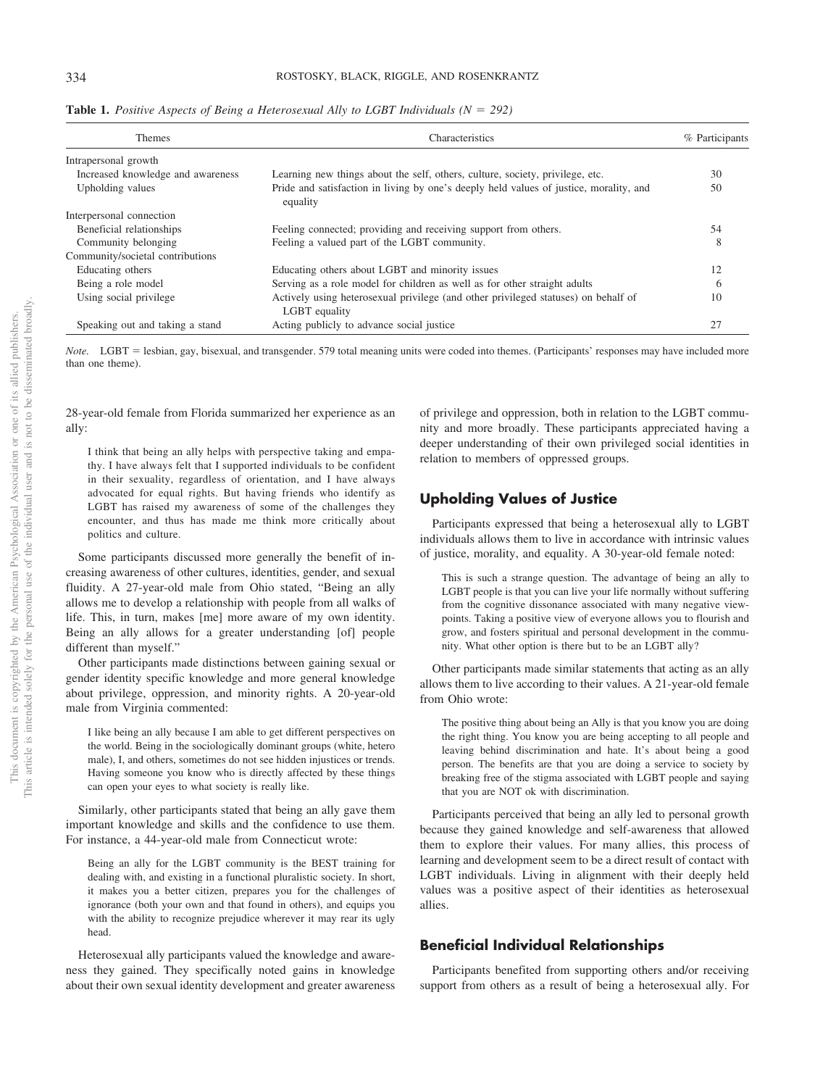| Themes                            | Characteristics                                                                                     | % Participants |
|-----------------------------------|-----------------------------------------------------------------------------------------------------|----------------|
| Intrapersonal growth              |                                                                                                     |                |
| Increased knowledge and awareness | Learning new things about the self, others, culture, society, privilege, etc.                       | 30             |
| Upholding values                  | Pride and satisfaction in living by one's deeply held values of justice, morality, and<br>equality  | 50             |
| Interpersonal connection          |                                                                                                     |                |
| Beneficial relationships          | Feeling connected; providing and receiving support from others.                                     | 54             |
| Community belonging               | Feeling a valued part of the LGBT community.                                                        | 8              |
| Community/societal contributions  |                                                                                                     |                |
| Educating others                  | Educating others about LGBT and minority issues                                                     | 12             |
| Being a role model                | Serving as a role model for children as well as for other straight adults                           | $\circ$        |
| Using social privilege            | Actively using heterosexual privilege (and other privileged statuses) on behalf of<br>LGBT equality | 10             |
| Speaking out and taking a stand   | Acting publicly to advance social justice.                                                          |                |

<span id="page-3-0"></span>**Table 1.** Positive Aspects of Being a Heterosexual Ally to LGBT Individuals ( $N = 292$ )

Note. LGBT = lesbian, gay, bisexual, and transgender. 579 total meaning units were coded into themes. (Participants' responses may have included more than one theme).

28-year-old female from Florida summarized her experience as an ally:

I think that being an ally helps with perspective taking and empathy. I have always felt that I supported individuals to be confident in their sexuality, regardless of orientation, and I have always advocated for equal rights. But having friends who identify as LGBT has raised my awareness of some of the challenges they encounter, and thus has made me think more critically about politics and culture.

Some participants discussed more generally the benefit of increasing awareness of other cultures, identities, gender, and sexual fluidity. A 27-year-old male from Ohio stated, "Being an ally allows me to develop a relationship with people from all walks of life. This, in turn, makes [me] more aware of my own identity. Being an ally allows for a greater understanding [of] people different than myself."

Other participants made distinctions between gaining sexual or gender identity specific knowledge and more general knowledge about privilege, oppression, and minority rights. A 20-year-old male from Virginia commented:

I like being an ally because I am able to get different perspectives on the world. Being in the sociologically dominant groups (white, hetero male), I, and others, sometimes do not see hidden injustices or trends. Having someone you know who is directly affected by these things can open your eyes to what society is really like.

Similarly, other participants stated that being an ally gave them important knowledge and skills and the confidence to use them. For instance, a 44-year-old male from Connecticut wrote:

Being an ally for the LGBT community is the BEST training for dealing with, and existing in a functional pluralistic society. In short, it makes you a better citizen, prepares you for the challenges of ignorance (both your own and that found in others), and equips you with the ability to recognize prejudice wherever it may rear its ugly head.

Heterosexual ally participants valued the knowledge and awareness they gained. They specifically noted gains in knowledge about their own sexual identity development and greater awareness of privilege and oppression, both in relation to the LGBT community and more broadly. These participants appreciated having a deeper understanding of their own privileged social identities in relation to members of oppressed groups.

# **Upholding Values of Justice**

Participants expressed that being a heterosexual ally to LGBT individuals allows them to live in accordance with intrinsic values of justice, morality, and equality. A 30-year-old female noted:

This is such a strange question. The advantage of being an ally to LGBT people is that you can live your life normally without suffering from the cognitive dissonance associated with many negative viewpoints. Taking a positive view of everyone allows you to flourish and grow, and fosters spiritual and personal development in the community. What other option is there but to be an LGBT ally?

Other participants made similar statements that acting as an ally allows them to live according to their values. A 21-year-old female from Ohio wrote:

The positive thing about being an Ally is that you know you are doing the right thing. You know you are being accepting to all people and leaving behind discrimination and hate. It's about being a good person. The benefits are that you are doing a service to society by breaking free of the stigma associated with LGBT people and saying that you are NOT ok with discrimination.

Participants perceived that being an ally led to personal growth because they gained knowledge and self-awareness that allowed them to explore their values. For many allies, this process of learning and development seem to be a direct result of contact with LGBT individuals. Living in alignment with their deeply held values was a positive aspect of their identities as heterosexual allies.

# **Beneficial Individual Relationships**

Participants benefited from supporting others and/or receiving support from others as a result of being a heterosexual ally. For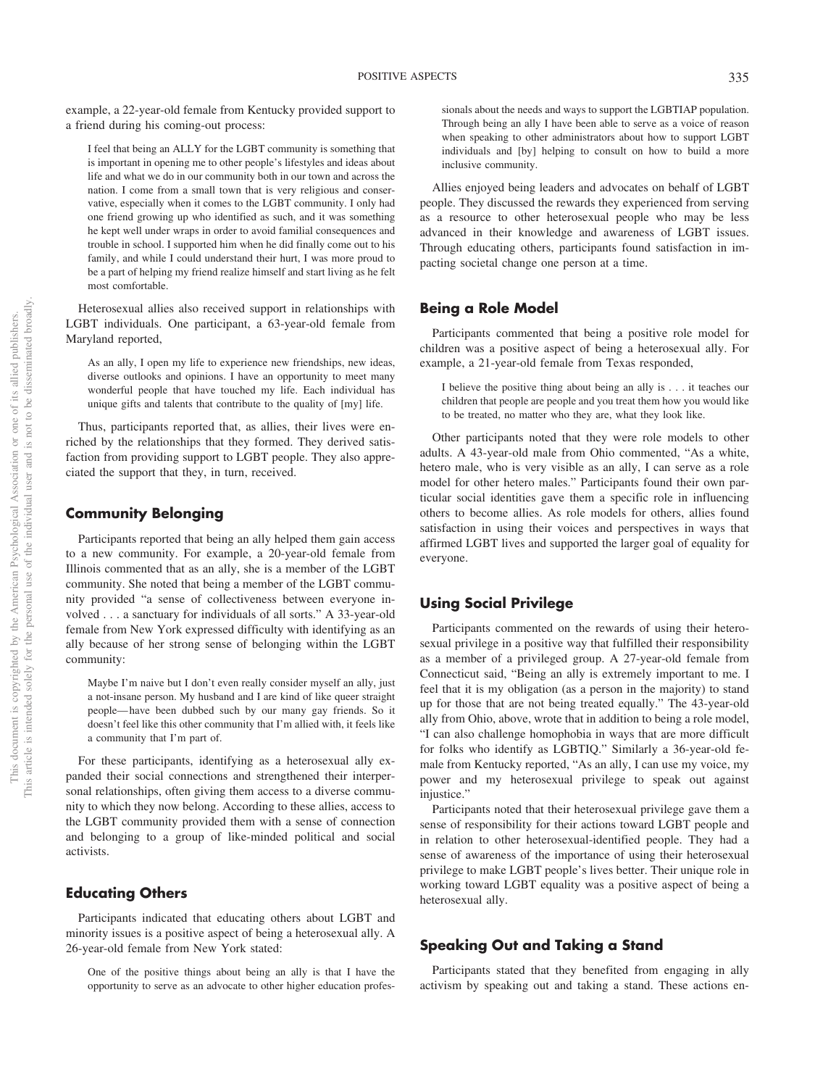example, a 22-year-old female from Kentucky provided support to a friend during his coming-out process:

I feel that being an ALLY for the LGBT community is something that is important in opening me to other people's lifestyles and ideas about life and what we do in our community both in our town and across the nation. I come from a small town that is very religious and conservative, especially when it comes to the LGBT community. I only had one friend growing up who identified as such, and it was something he kept well under wraps in order to avoid familial consequences and trouble in school. I supported him when he did finally come out to his family, and while I could understand their hurt, I was more proud to be a part of helping my friend realize himself and start living as he felt most comfortable.

Heterosexual allies also received support in relationships with LGBT individuals. One participant, a 63-year-old female from Maryland reported,

As an ally, I open my life to experience new friendships, new ideas, diverse outlooks and opinions. I have an opportunity to meet many wonderful people that have touched my life. Each individual has unique gifts and talents that contribute to the quality of [my] life.

Thus, participants reported that, as allies, their lives were enriched by the relationships that they formed. They derived satisfaction from providing support to LGBT people. They also appreciated the support that they, in turn, received.

# **Community Belonging**

Participants reported that being an ally helped them gain access to a new community. For example, a 20-year-old female from Illinois commented that as an ally, she is a member of the LGBT community. She noted that being a member of the LGBT community provided "a sense of collectiveness between everyone involved...a sanctuary for individuals of all sorts." A 33-year-old female from New York expressed difficulty with identifying as an ally because of her strong sense of belonging within the LGBT community:

Maybe I'm naive but I don't even really consider myself an ally, just a not-insane person. My husband and I are kind of like queer straight people— have been dubbed such by our many gay friends. So it doesn't feel like this other community that I'm allied with, it feels like a community that I'm part of.

For these participants, identifying as a heterosexual ally expanded their social connections and strengthened their interpersonal relationships, often giving them access to a diverse community to which they now belong. According to these allies, access to the LGBT community provided them with a sense of connection and belonging to a group of like-minded political and social activists.

# **Educating Others**

Participants indicated that educating others about LGBT and minority issues is a positive aspect of being a heterosexual ally. A 26-year-old female from New York stated:

One of the positive things about being an ally is that I have the opportunity to serve as an advocate to other higher education professionals about the needs and ways to support the LGBTIAP population. Through being an ally I have been able to serve as a voice of reason when speaking to other administrators about how to support LGBT individuals and [by] helping to consult on how to build a more inclusive community.

Allies enjoyed being leaders and advocates on behalf of LGBT people. They discussed the rewards they experienced from serving as a resource to other heterosexual people who may be less advanced in their knowledge and awareness of LGBT issues. Through educating others, participants found satisfaction in impacting societal change one person at a time.

#### **Being a Role Model**

Participants commented that being a positive role model for children was a positive aspect of being a heterosexual ally. For example, a 21-year-old female from Texas responded,

I believe the positive thing about being an ally is . . . it teaches our children that people are people and you treat them how you would like to be treated, no matter who they are, what they look like.

Other participants noted that they were role models to other adults. A 43-year-old male from Ohio commented, "As a white, hetero male, who is very visible as an ally, I can serve as a role model for other hetero males." Participants found their own particular social identities gave them a specific role in influencing others to become allies. As role models for others, allies found satisfaction in using their voices and perspectives in ways that affirmed LGBT lives and supported the larger goal of equality for everyone.

# **Using Social Privilege**

Participants commented on the rewards of using their heterosexual privilege in a positive way that fulfilled their responsibility as a member of a privileged group. A 27-year-old female from Connecticut said, "Being an ally is extremely important to me. I feel that it is my obligation (as a person in the majority) to stand up for those that are not being treated equally." The 43-year-old ally from Ohio, above, wrote that in addition to being a role model, "I can also challenge homophobia in ways that are more difficult for folks who identify as LGBTIQ." Similarly a 36-year-old female from Kentucky reported, "As an ally, I can use my voice, my power and my heterosexual privilege to speak out against injustice."

Participants noted that their heterosexual privilege gave them a sense of responsibility for their actions toward LGBT people and in relation to other heterosexual-identified people. They had a sense of awareness of the importance of using their heterosexual privilege to make LGBT people's lives better. Their unique role in working toward LGBT equality was a positive aspect of being a heterosexual ally.

# **Speaking Out and Taking a Stand**

Participants stated that they benefited from engaging in ally activism by speaking out and taking a stand. These actions en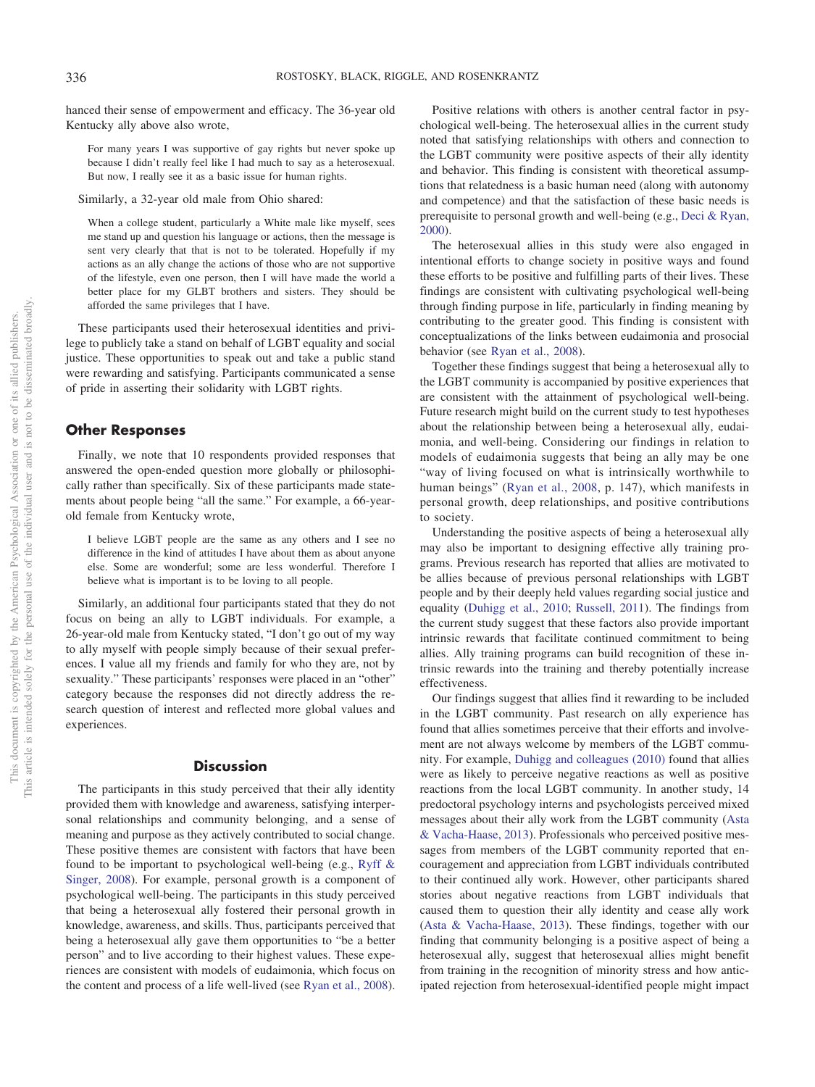hanced their sense of empowerment and efficacy. The 36-year old Kentucky ally above also wrote,

For many years I was supportive of gay rights but never spoke up because I didn't really feel like I had much to say as a heterosexual. But now, I really see it as a basic issue for human rights.

Similarly, a 32-year old male from Ohio shared:

When a college student, particularly a White male like myself, sees me stand up and question his language or actions, then the message is sent very clearly that that is not to be tolerated. Hopefully if my actions as an ally change the actions of those who are not supportive of the lifestyle, even one person, then I will have made the world a better place for my GLBT brothers and sisters. They should be afforded the same privileges that I have.

These participants used their heterosexual identities and privilege to publicly take a stand on behalf of LGBT equality and social justice. These opportunities to speak out and take a public stand were rewarding and satisfying. Participants communicated a sense of pride in asserting their solidarity with LGBT rights.

#### **Other Responses**

Finally, we note that 10 respondents provided responses that answered the open-ended question more globally or philosophically rather than specifically. Six of these participants made statements about people being "all the same." For example, a 66-yearold female from Kentucky wrote,

I believe LGBT people are the same as any others and I see no difference in the kind of attitudes I have about them as about anyone else. Some are wonderful; some are less wonderful. Therefore I believe what is important is to be loving to all people.

Similarly, an additional four participants stated that they do not focus on being an ally to LGBT individuals. For example, a 26-year-old male from Kentucky stated, "I don't go out of my way to ally myself with people simply because of their sexual preferences. I value all my friends and family for who they are, not by sexuality." These participants' responses were placed in an "other" category because the responses did not directly address the research question of interest and reflected more global values and experiences.

# **Discussion**

The participants in this study perceived that their ally identity provided them with knowledge and awareness, satisfying interpersonal relationships and community belonging, and a sense of meaning and purpose as they actively contributed to social change. These positive themes are consistent with factors that have been found to be important to psychological well-being (e.g., [Ryff &](#page-7-5) [Singer, 2008\)](#page-7-5). For example, personal growth is a component of psychological well-being. The participants in this study perceived that being a heterosexual ally fostered their personal growth in knowledge, awareness, and skills. Thus, participants perceived that being a heterosexual ally gave them opportunities to "be a better person" and to live according to their highest values. These experiences are consistent with models of eudaimonia, which focus on the content and process of a life well-lived (see [Ryan et al., 2008\)](#page-7-4).

Positive relations with others is another central factor in psychological well-being. The heterosexual allies in the current study noted that satisfying relationships with others and connection to the LGBT community were positive aspects of their ally identity and behavior. This finding is consistent with theoretical assumptions that relatedness is a basic human need (along with autonomy and competence) and that the satisfaction of these basic needs is prerequisite to personal growth and well-being (e.g., [Deci & Ryan,](#page-6-8) [2000\)](#page-6-8).

The heterosexual allies in this study were also engaged in intentional efforts to change society in positive ways and found these efforts to be positive and fulfilling parts of their lives. These findings are consistent with cultivating psychological well-being through finding purpose in life, particularly in finding meaning by contributing to the greater good. This finding is consistent with conceptualizations of the links between eudaimonia and prosocial behavior (see [Ryan et al., 2008\)](#page-7-4).

Together these findings suggest that being a heterosexual ally to the LGBT community is accompanied by positive experiences that are consistent with the attainment of psychological well-being. Future research might build on the current study to test hypotheses about the relationship between being a heterosexual ally, eudaimonia, and well-being. Considering our findings in relation to models of eudaimonia suggests that being an ally may be one "way of living focused on what is intrinsically worthwhile to human beings" [\(Ryan et al., 2008,](#page-7-4) p. 147), which manifests in personal growth, deep relationships, and positive contributions to society.

Understanding the positive aspects of being a heterosexual ally may also be important to designing effective ally training programs. Previous research has reported that allies are motivated to be allies because of previous personal relationships with LGBT people and by their deeply held values regarding social justice and equality [\(Duhigg et al., 2010;](#page-6-1) [Russell, 2011\)](#page-7-6). The findings from the current study suggest that these factors also provide important intrinsic rewards that facilitate continued commitment to being allies. Ally training programs can build recognition of these intrinsic rewards into the training and thereby potentially increase effectiveness.

Our findings suggest that allies find it rewarding to be included in the LGBT community. Past research on ally experience has found that allies sometimes perceive that their efforts and involvement are not always welcome by members of the LGBT community. For example, [Duhigg and colleagues \(2010\)](#page-6-1) found that allies were as likely to perceive negative reactions as well as positive reactions from the local LGBT community. In another study, 14 predoctoral psychology interns and psychologists perceived mixed messages about their ally work from the LGBT community [\(Asta](#page-6-2) [& Vacha-Haase, 2013\)](#page-6-2). Professionals who perceived positive messages from members of the LGBT community reported that encouragement and appreciation from LGBT individuals contributed to their continued ally work. However, other participants shared stories about negative reactions from LGBT individuals that caused them to question their ally identity and cease ally work [\(Asta & Vacha-Haase, 2013\)](#page-6-2). These findings, together with our finding that community belonging is a positive aspect of being a heterosexual ally, suggest that heterosexual allies might benefit from training in the recognition of minority stress and how anticipated rejection from heterosexual-identified people might impact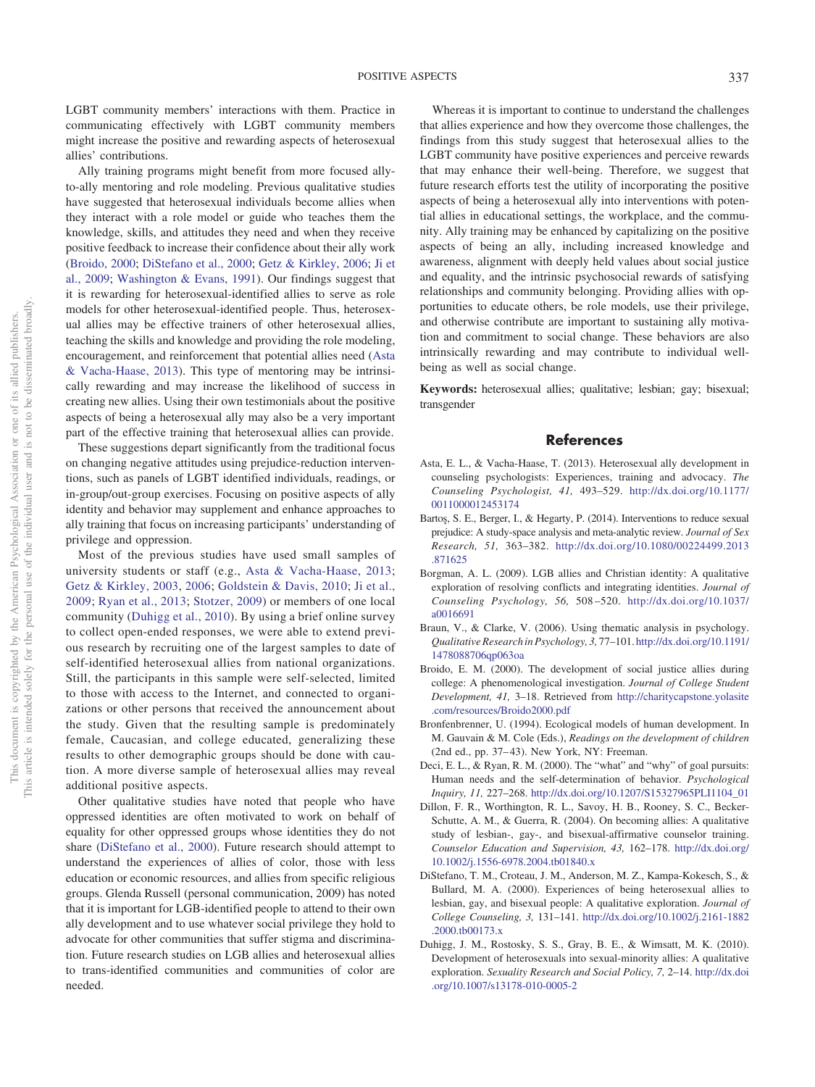LGBT community members' interactions with them. Practice in communicating effectively with LGBT community members might increase the positive and rewarding aspects of heterosexual allies' contributions.

Ally training programs might benefit from more focused allyto-ally mentoring and role modeling. Previous qualitative studies have suggested that heterosexual individuals become allies when they interact with a role model or guide who teaches them the knowledge, skills, and attitudes they need and when they receive positive feedback to increase their confidence about their ally work [\(Broido, 2000;](#page-6-9) [DiStefano et al., 2000;](#page-6-4) [Getz & Kirkley, 2006;](#page-7-11) [Ji et](#page-7-8) [al., 2009;](#page-7-8) [Washington & Evans, 1991\)](#page-7-0). Our findings suggest that it is rewarding for heterosexual-identified allies to serve as role models for other heterosexual-identified people. Thus, heterosexual allies may be effective trainers of other heterosexual allies, teaching the skills and knowledge and providing the role modeling, encouragement, and reinforcement that potential allies need [\(Asta](#page-6-2) [& Vacha-Haase, 2013\)](#page-6-2). This type of mentoring may be intrinsically rewarding and may increase the likelihood of success in creating new allies. Using their own testimonials about the positive aspects of being a heterosexual ally may also be a very important part of the effective training that heterosexual allies can provide.

These suggestions depart significantly from the traditional focus on changing negative attitudes using prejudice-reduction interventions, such as panels of LGBT identified individuals, readings, or in-group/out-group exercises. Focusing on positive aspects of ally identity and behavior may supplement and enhance approaches to ally training that focus on increasing participants' understanding of privilege and oppression.

Most of the previous studies have used small samples of university students or staff (e.g., [Asta & Vacha-Haase, 2013;](#page-6-2) [Getz & Kirkley, 2003,](#page-7-10) [2006;](#page-7-11) [Goldstein & Davis, 2010;](#page-7-9) [Ji et al.,](#page-7-8) [2009;](#page-7-8) [Ryan et al., 2013;](#page-7-7) [Stotzer, 2009\)](#page-7-14) or members of one local community [\(Duhigg et al., 2010\)](#page-6-1). By using a brief online survey to collect open-ended responses, we were able to extend previous research by recruiting one of the largest samples to date of self-identified heterosexual allies from national organizations. Still, the participants in this sample were self-selected, limited to those with access to the Internet, and connected to organizations or other persons that received the announcement about the study. Given that the resulting sample is predominately female, Caucasian, and college educated, generalizing these results to other demographic groups should be done with caution. A more diverse sample of heterosexual allies may reveal additional positive aspects.

Other qualitative studies have noted that people who have oppressed identities are often motivated to work on behalf of equality for other oppressed groups whose identities they do not share [\(DiStefano et al., 2000\)](#page-6-4). Future research should attempt to understand the experiences of allies of color, those with less education or economic resources, and allies from specific religious groups. Glenda Russell (personal communication, 2009) has noted that it is important for LGB-identified people to attend to their own ally development and to use whatever social privilege they hold to advocate for other communities that suffer stigma and discrimination. Future research studies on LGB allies and heterosexual allies to trans-identified communities and communities of color are needed.

Whereas it is important to continue to understand the challenges that allies experience and how they overcome those challenges, the findings from this study suggest that heterosexual allies to the LGBT community have positive experiences and perceive rewards that may enhance their well-being. Therefore, we suggest that future research efforts test the utility of incorporating the positive aspects of being a heterosexual ally into interventions with potential allies in educational settings, the workplace, and the community. Ally training may be enhanced by capitalizing on the positive aspects of being an ally, including increased knowledge and awareness, alignment with deeply held values about social justice and equality, and the intrinsic psychosocial rewards of satisfying relationships and community belonging. Providing allies with opportunities to educate others, be role models, use their privilege, and otherwise contribute are important to sustaining ally motivation and commitment to social change. These behaviors are also intrinsically rewarding and may contribute to individual wellbeing as well as social change.

**Keywords:** heterosexual allies; qualitative; lesbian; gay; bisexual; transgender

#### **References**

- <span id="page-6-2"></span>Asta, E. L., & Vacha-Haase, T. (2013). Heterosexual ally development in counseling psychologists: Experiences, training and advocacy. *The Counseling Psychologist, 41,* 493–529. [http://dx.doi.org/10.1177/](http://dx.doi.org/10.1177/0011000012453174) [0011000012453174](http://dx.doi.org/10.1177/0011000012453174)
- <span id="page-6-0"></span>Bartos, S. E., Berger, I., & Hegarty, P. (2014). Interventions to reduce sexual prejudice: A study-space analysis and meta-analytic review. *Journal of Sex Research, 51,* 363–382. [http://dx.doi.org/10.1080/00224499.2013](http://dx.doi.org/10.1080/00224499.2013.871625) [.871625](http://dx.doi.org/10.1080/00224499.2013.871625)
- <span id="page-6-3"></span>Borgman, A. L. (2009). LGB allies and Christian identity: A qualitative exploration of resolving conflicts and integrating identities. *Journal of Counseling Psychology, 56,* 508 –520. [http://dx.doi.org/10.1037/](http://dx.doi.org/10.1037/a0016691) [a0016691](http://dx.doi.org/10.1037/a0016691)
- <span id="page-6-6"></span>Braun, V., & Clarke, V. (2006). Using thematic analysis in psychology. *Qualitative Researchin Psychology, 3,* 77–101. [http://dx.doi.org/10.1191/](http://dx.doi.org/10.1191/1478088706qp063oa) [1478088706qp063oa](http://dx.doi.org/10.1191/1478088706qp063oa)
- <span id="page-6-9"></span>Broido, E. M. (2000). The development of social justice allies during college: A phenomenological investigation. *Journal of College Student Development, 41,* 3–18. Retrieved from [http://charitycapstone.yolasite](http://charitycapstone.yolasite.com/resources/Broido2000.pdf) [.com/resources/Broido2000.pdf](http://charitycapstone.yolasite.com/resources/Broido2000.pdf)
- <span id="page-6-7"></span>Bronfenbrenner, U. (1994). Ecological models of human development. In M. Gauvain & M. Cole (Eds.), *Readings on the development of children* (2nd ed., pp. 37– 43). New York, NY: Freeman.
- <span id="page-6-8"></span>Deci, E. L., & Ryan, R. M. (2000). The "what" and "why" of goal pursuits: Human needs and the self-determination of behavior. *Psychological Inquiry, 11,* 227–268. [http://dx.doi.org/10.1207/S15327965PLI1104\\_01](http://dx.doi.org/10.1207/S15327965PLI1104_01)
- <span id="page-6-5"></span>Dillon, F. R., Worthington, R. L., Savoy, H. B., Rooney, S. C., Becker-Schutte, A. M., & Guerra, R. (2004). On becoming allies: A qualitative study of lesbian-, gay-, and bisexual-affirmative counselor training. *Counselor Education and Supervision, 43,* 162–178. [http://dx.doi.org/](http://dx.doi.org/10.1002/j.1556-6978.2004.tb01840.x) [10.1002/j.1556-6978.2004.tb01840.x](http://dx.doi.org/10.1002/j.1556-6978.2004.tb01840.x)
- <span id="page-6-4"></span>DiStefano, T. M., Croteau, J. M., Anderson, M. Z., Kampa-Kokesch, S., & Bullard, M. A. (2000). Experiences of being heterosexual allies to lesbian, gay, and bisexual people: A qualitative exploration. *Journal of College Counseling, 3,* 131–141. [http://dx.doi.org/10.1002/j.2161-1882](http://dx.doi.org/10.1002/j.2161-1882.2000.tb00173.x) [.2000.tb00173.x](http://dx.doi.org/10.1002/j.2161-1882.2000.tb00173.x)
- <span id="page-6-1"></span>Duhigg, J. M., Rostosky, S. S., Gray, B. E., & Wimsatt, M. K. (2010). Development of heterosexuals into sexual-minority allies: A qualitative exploration. *Sexuality Research and Social Policy, 7,* 2–14. [http://dx.doi](http://dx.doi.org/10.1007/s13178-010-0005-2) [.org/10.1007/s13178-010-0005-2](http://dx.doi.org/10.1007/s13178-010-0005-2)